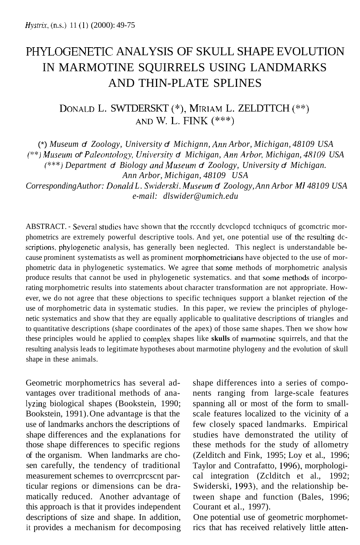# PHYLOGENETIC ANALYSIS OF SKULL SHAPE EVOLUTION IN MARMOTINE SQUIRRELS USING LANDMARKS AND THIN-PLATE SPLINES

# DONALD L. SWTDERSKT (\*), MIRIAM L. ZELDTTCH (\*\*) AND w. L. FINK (\*\*\*)

(\*) *Museum of Zoology, University of Michignn, Ann Arbor, Michigan, 48109 USA*  ("\*) *Museum of' Pnleontology, Universiiy of Michigan, Ann Arbor, Michigan, 48109 USA*   $P_{\text{max}}$  *Pepartment <i>of Biology and Museum of Zoology, University of Michigan. Ann Arbor, Michigan, 48109 USA Corresponding Author: Donald L. Swiiderski. Museum of Zoology, Ann Arbor MI 481 09 USA e-mail: dlswider@umich.edu* 

ABSTRACT. - Sevcral studics havc shown that thc rcccntly dcvclopcd tcchniqucs of gcomctric morphometrics are extremely powerful descriptive tools. And yet, one potential use of thc rcsulting dcscriptions, phylogenetic analysis, has generally been neglected. This neglect is understandable because prominent systematists as well as prominent inorphometricians have objected to the use of morphometric data in phylogenetic systematics. We agree that some methods of morphometric analysis produce results that cannot be used in phylogenetic systematics. and that some methods of incorporating morphometric results into statements about character transformation are not appropriate. However, we do not agree that these objections to specific techniques support a blanket rejection of the use of morphometric data in systematic studies. In this paper, we review the principles of phylogenetic systematics and show that they are equally applicable to qualitative descriptions of triangles and to quantitative descriptions (shape coordinates of the apex) of those same shapes. Then we show how these principles would he applied to complex shapes like **skulls** of marmotine squirrels, and that the resulting analysis leads to legitimate hypotheses about marmotine phylogeny and the evolution of skull shape in these animals.

Geometric morphometrics has several advantages over traditional methods of analyzing biological shapes (Bookstein, 1990; Bookstein, 1991). One advantage is that the use of landmarks anchors the descriptions of shape differences and the explanations for those shape differences to specific regions of the organism. When landmarks are chosen carefully, the tendency of traditional measurement schemes to overrcprcscnt particular regions or dimensions can be dramatically reduced. Another advantage of this approach is that it provides independent descriptions of size and shape. In addition, it provides a mechanism for decomposing

shape differences into a series of components ranging from large-scale features spanning all or most of the form to smallscale features localized to the vicinity of a few closely spaced landmarks. Empirical studies have demonstrated the utility of these methods for the study of allometry (Zelditch and Fink, 1995; Loy et al., 1996; Taylor and Contrafatto, 1996), morphological integration (Zelditch et al., 1992; Swiderski, 1993), and the relationship between shape and function (Bales, 1996; Courant et al., 1997).

One potential use of geometric morphometrics that has received relatively little atten-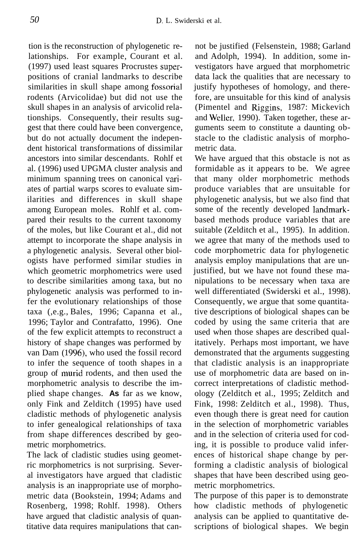tion is the reconstruction of phylogenetic relationships. For example, Courant et al. (1997) used least squares Procrustes superpositions of cranial landmarks to describe similarities in skull shape among fossorial rodents (Arvicolidae) but did not use the skull shapes in an analysis of arvicolid relationships. Consequently, their results suggest that there could have been convergence, but do not actually document the independent historical transformations of dissimilar ancestors into similar descendants. Rohlf et al. (1996) used UPGMA cluster analysis and minimum spanning trees on canonical variates of partial warps scores to evaluate similarities and differences in skull shape among European moles. Rohlf et al. compared their results to the current taxonomy of the moles, but like Courant et al., did not attempt to incorporate the shape analysis in a phylogenetic analysis. Several other biologists have performed similar studies in which geometric morphometrics were used to describe similarities among taxa, but no phylogenetic analysis was performed to infer the evolutionary relationships of those taxa (,e.g., Bales, 1996; Capanna et al., 1996; Taylor and Contrafatto, 1996). One of the few explicit attempts to reconstruct a history of shape changes was performed by van Dam (1996), who used the fossil record to infer the sequence of tooth shapes in a group of murid rodents, and then used the morphometric analysis to describe the implied shape changes. **As** far as we know, only Fink and Zelditch (1995) have used cladistic methods of phylogenetic analysis to infer genealogical relationships of taxa from shape differences described by geometric morphometrics.

The lack of cladistic studies using geometric morphometrics is not surprising. Several investigators have argued that cladistic analysis is an inappropriate use of morphometric data (Bookstein, 1994; Adams and Rosenberg, 1998; Rohlf. 1998). Others have argued that cladistic analysis of quantitative data requires manipulations that can-

not be justified (Felsenstein, 1988; Garland and Adolph, 1994). In addition, some investigators have argued that morphometric data lack the qualities that are necessary to justify hypotheses of homology, and therefore, are unsuitable for this kind of analysis (Pimentel and Riggins, 1987: Mickevich and Weller, 1990). Taken together, these arguments seem to constitute a daunting obstacle to the cladistic analysis of morphometric data.

We have argued that this obstacle is not as formidable as it appears to be. We agree that many older morphometric methods produce variables that are unsuitable for phylogenetic analysis, but we also find that some of the recently developed landmarkbased methods produce variables that are suitable (Zelditch et al., 1995). In addition. we agree that many of the methods used to code morphometric data for phylogenetic analysis employ manipulations that are unjustified, but we have not found these manipulations to be necessary when taxa are well differentiated (Swiderski et al., 1998). Consequently, we argue that some quantitative descriptions of biological shapes can be coded by using the same criteria that are used when those shapes are described qualitatively. Perhaps most important, we have demonstrated that the arguments suggesting that cladistic analysis is an inappropriate use of morphometric data are based on incorrect interpretations of cladistic methodology (Zelditch et al., 1995; Zelditch and Fink, 1998: Zelditch et al., 1998). Thus, even though there is great need for caution in the selection of morphometric variables and in the selection of criteria used for coding, it is possible to produce valid inferences of historical shape change by performing a cladistic analysis of biological shapes that have been described using geometric morphometrics.

The purpose of this paper is to demonstrate how cladistic methods of phylogenetic analysis can be applied to quantitative descriptions of biological shapes. We begin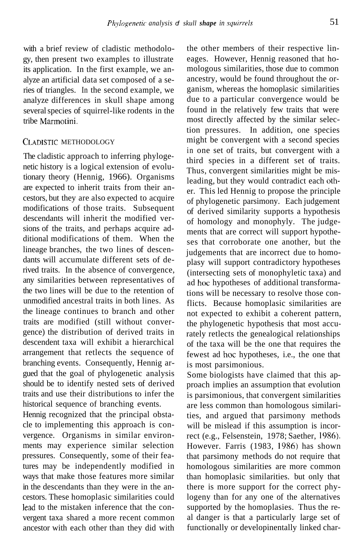with a brief review of cladistic methodology, then present two examples to illustrate its application. In the first example, we analyze an artificial data set composed of a series of triangles. In the second example, we analyze differences in skull shape among several species of squirrel-like rodents in the tribe Marmotini.

#### CLADISTIC METHODOLOGY

The cladistic approach to inferring phylogenetic history is a logical extension of evolutionary theory (Hennig, 1966). Organisms are expected to inherit traits from their ancestors, but they are also expected to acquire modifications of those traits. Subsequent descendants will inherit the modified versions of the traits, and perhaps acquire additional modifications of them. When the lineage branches, the two lines of descendants will accumulate different sets of derived traits. In the absence of convergence, any similarities between representatives of the two lines will be due to the retention of unmodified ancestral traits in both lines. As the lineage continues to branch and other traits are modified (still without convergence) the distribution of derived traits in descendent taxa will exhibit a hierarchical arrangement that retlects the sequence of branching events. Consequently, Hennig argued that the goal of phylogenetic analysis should be to identify nested sets of derived traits and use their distributions to infer the historical sequence of branching events.

Hennig recognized that the principal obstacle to implementing this approach is convergence. Organisms in similar environments may experience similar selection pressures. Consequently, some of their features may be independently modified in ways that make those features more similar in the descendants than they were in the ancestors. These homoplasic similarities could lead to the mistaken inference that the convergent taxa shared a more recent common ancestor with each other than they did with the other members of their respective lineages. However, Hennig reasoned that homologous similarities, those due to common ancestry, would be found throughout the organism, whereas the homoplasic similarities due to a particular convergence would be found in the relatively few traits that were most directly affected by the similar selection pressures. In addition, one species might be convergent with a second species in one set of traits, but convergent with a third species in a different set of traits. Thus, convergent similarities might be misleading, but they would contradict each other. This led Hennig to propose the principle of phylogenetic parsimony. Each judgement of derived similarity supports a hypothesis of homology and monophyly. The judgements that are correct will support hypotheses that corroborate one another, but the judgements that are incorrect due to homoplasy will support contradictory hypotheses (intersecting sets of monophyletic taxa) and ad hoc hypotheses of additional transformations will be necessary to resolve those conflicts. Because homoplasic similarities are not expected to exhibit a coherent pattern, the phylogenetic hypothesis that most accurately retlects the genealogical relationships of the taxa will be the one that requires the fewest ad hoc hypotheses, i.e., the one that is most parsimonious.

Some biologists have claimed that this approach implies an assumption that evolution is parsimonious, that convergent similarities are less common than homologous similarities, and argued that parsimony methods will be mislead if this assumption is incorrect (e.g., Felsenstein, 1978; Saether, 1986). However. Farris (1983, 1986) has shown that parsimony methods do not require that homologous similarities are more common than homoplasic similarities. but only that there is more support for the correct phylogeny than for any one of the alternatives supported by the homoplasies. Thus the real danger is that a particularly large set of functionally or developinentally linked char-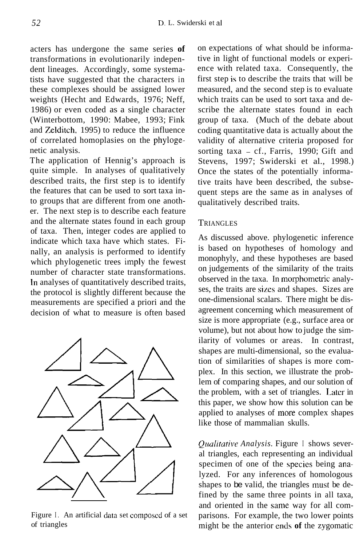acters has undergone the same series **of**  transformations in evolutionarily independent lineages. Accordingly, some systematists have suggested that the characters in these complexes should be assigned lower weights (Hecht and Edwards, 1976; Neff, 1986) or even coded as a single character (Winterbottom, 1990: Mabee, 1993; Fink and Zelditch, 1995) to reduce the influence of correlated homoplasies on the phylogenetic analysis.

The application of Hennig's approach is quite simple. In analyses of qualitatively described traits, the first step is to identify the features that can be used to sort taxa into groups that are different from one another. The next step is to describe each feature and the alternate states found in each group of taxa. Then, integer codes are applied to indicate which taxa have which states. Finally, an analysis is performed to identify which phylogenetic trees imply the fewest number of character state transformations. In analyses of quantitatively described traits, the protocol is slightly different because the measurements are specified a priori and the decision of what to measure is often based



Figure I. An artificial data set composed of a set of triangles

on expectations of what should be informative in light of functional models or experience with related taxa. Consequently, the first step is to describe the traits that will be measured, and the second step is to evaluate which traits can be used to sort taxa and describe the alternate states found in each group of taxa. (Much of the debate about coding quantitative data is actually about the validity of alternative criteria proposed for sorting taxa  $= cf.,$  Farris, 1990; Gift and Stevens, 1997; Swiderski et al., 1998.) Once the states of the potentially informative traits have been described, the subsequent steps are the same as in analyses of qualitatively described traits.

#### **TRIANGLES**

As discussed above. phylogenetic inference is based on hypotheses of homology and monophyly, and these hypotheses are based on judgements of the similarity of the traits observed in the taxa. In morphometric analyses, the traits are sizes and shapes. Sizes are one-dimensional scalars. There might be disagreement concerning which measurement of size is more appropriate (e.g., surface area or volume), but not about how to judge the similarity of volumes or areas. In contrast, shapes are multi-dimensional, so the evaluation of similarities of shapes is more complex. In this section, we illustrate the problem of comparing shapes, and our solution of the problem, with a set of triangles. Later in this paper, we show how this solution can be applied to analyses of more complex shapes like those of mammalian skulls.

*Qualitative Analysis.* Figure I shows several triangles, each representing an individual specimen of one of the species being analyzed. For any inferences of homologous shapes to be valid, the triangles must be defined by the same three points in all taxa, and oriented in the same way for all comparisons. For example, the two lower points might be the anterior end\ **of** the zygomatic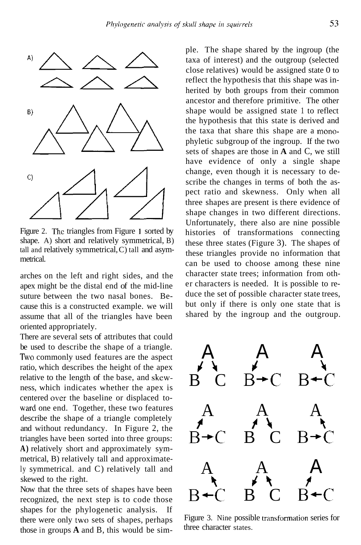

Figure 2. The triangles from Figure 1 sorted by shape. A) short and relatively symmetrical, B) tall and relatively symmetrical, C) tall and asymmetrical.

arches on the left and right sides, and the apex might be the distal end of the mid-line suture between the two nasal bones. Because this is a constructed example. we will assume that all of the triangles have been oriented appropriately.

There are several sets of attributes that could be used to describe the shape of a triangle. Two commonly used features are the aspect ratio, which describes the height of the apex relative to the length of the base, and skewness, which indicates whether the apex is centered over the baseline or displaced toward one end. Together, these two features describe the shape of a triangle completely and without redundancy. In Figure 2, the triangles have been sorted into three groups: **A)** relatively short and approximately symmetrical, B) relatively tall and approximately symmetrical. and C) relatively tall and skewed to the right.

Now that the three sets of shapes have been recognized, the next step is to code those shapes for the phylogenetic analysis. If there were only two sets of shapes, perhaps those in groups **A** and B, this would be simple. The shape shared by the ingroup (the taxa of interest) and the outgroup (selected close relatives) would be assigned state 0 to reflect the hypothesis that this shape was inherited by both groups from their common ancestor and therefore primitive. The other shape would be assigned state 1 to reflect the hypothesis that this state is derived and the taxa that share this shape are a monophyletic subgroup of the ingroup. If the two sets of shapes are those in **A** and C, we still have evidence of only a single shape change, even though it is necessary to describe the changes in terms of both the aspect ratio and skewness. Only when all three shapes are present is there evidence of shape changes in two different directions. Unfortunately, there also are nine possible histories of transformations connecting these three states (Figure 3). The shapes of these triangles provide no information that can be used to choose among these nine character state trees; information from other characters is needed. It is possible to reduce the set of possible character state trees, but only if there is only one state that is shared by the ingroup and the outgroup.



Figure 3. Nine possible transformation series for three character states.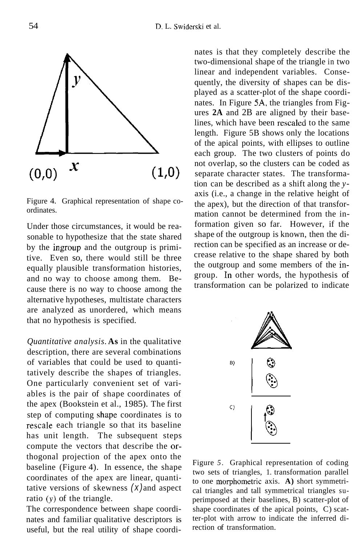

Figure 4. Graphical representation of shape coordinates.

Under those circumstances, it would be reasonable to hypothesize that the state shared by the ingroup and the outgroup is primitive. Even so, there would still be three equally plausible transformation histories, and no way to choose among them. Because there is no way to choose among the alternative hypotheses, multistate characters are analyzed as unordered, which means that no hypothesis is specified.

*Quantitative analysis.* **As** in the qualitative description, there are several combinations of variables that could be used to quantitatively describe the shapes of triangles. One particularly convenient set of variables is the pair of shape coordinates of the apex (Bookstein et al., 1985). The first step of computing shape coordinates is to rescale each triangle so that its baseline has unit length. The subsequent steps compute the vectors that describe the orthogonal projection of the apex onto the baseline (Figure 4). In essence, the shape coordinates of the apex are linear, quantitative versions of skewness *(x)* and aspect ratio  $(y)$  of the triangle.

The correspondence between shape coordinates and familiar qualitative descriptors is useful, but the real utility of shape coordi-

nates is that they completely describe the two-dimensional shape of the triangle in two linear and independent variables. Consequently, the diversity of shapes can be displayed as a scatter-plot of the shape coordinates. In Figure **5A,** the triangles from Figures **2A** and 2B are aligned by their baselines, which have been rescaled to the same length. Figure 5B shows only the locations of the apical points, with ellipses to outline each group. The two clusters of points do not overlap, so the clusters can be coded as separate character states. The transformation can be described as a shift along the *y*axis (i.e., a change in the relative height of the apex), but the direction of that transformation cannot be determined from the information given so far. However, if the shape of the outgroup is known, then the direction can be specified as an increase or decrease relative to the shape shared by both the outgroup and some members of the ingroup. In other words, the hypothesis of transformation can be polarized to indicate



Figure *5.* Graphical representation of coding two sets of triangles, 1. transformation parallel to one morphometric axis. **A)** short symmetrical triangles and tall symmetrical triangles superimposed at their baselines, B) scatter-plot of shape coordinates of the apical points, C) scatter-plot with arrow to indicate the inferred direction of transformation.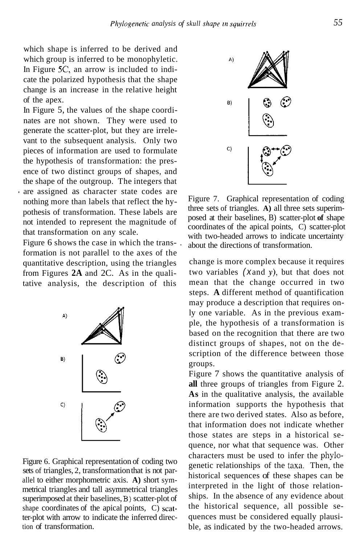which shape is inferred to be derived and which group is inferred to be monophyletic. In Figure *SC,* an arrow is included to indicate the polarized hypothesis that the shape change is an increase in the relative height of the apex.

In Figure 5, the values of the shape coordinates are not shown. They were used to generate the scatter-plot, but they are irrelevant to the subsequent analysis. Only two pieces of information are used to formulate the hypothesis of transformation: the presence of two distinct groups of shapes, and the shape of the outgroup. The integers that are assigned as character state codes are nothing more than labels that reflect the hypothesis of transformation. These labels are not intended to represent the magnitude of that transformation on any scale.

Figure 6 shows the case in which the trans- . formation is not parallel to the axes of the quantitative description, using the triangles from Figures **2A** and 2C. As in the qualitative analysis, the description of this



Figure 6. Graphical representation of coding two sets of triangles, 2, transformation that is not parallel to either morphometric axis. **A)** short symmetrical triangles and tall asymmetrical triangles superimposed at their baselines, E) scatter-plot of shape coordinates of the apical points, C) scatter-plot with arrow to indicate the inferred direction of transformation.



Figure 7. Graphical representation of coding three sets of triangles. **A)** all three sets superimposed at their baselines, B) scatter-plot **of** shape coordinates of the apical points, C) scatter-plot with two-headed arrows to indicate uncertainty about the directions of transformation.

change is more complex because it requires two variables *(x* and *y),* but that does not mean that the change occurred in two steps. **A** different method of quantification may produce a description that requires only one variable. As in the previous example, the hypothesis of a transformation is based on the recognition that there are two distinct groups of shapes, not on the description of the difference between those groups.

Figure 7 shows the quantitative analysis of **all** three groups of triangles from Figure 2. **As** in the qualitative analysis, the available information supports the hypothesis that there are two derived states. Also as before, that information does not indicate whether those states are steps in a historical sequence, nor what that sequence was. Other characters must be used to infer the phylogenetic relationships of the taxa. Then, the historical sequences of these shapes can be interpreted in the light of those relationships. In the absence of any evidence about the historical sequence, all possible sequences must be considered equally plausible, as indicated by the two-headed arrows.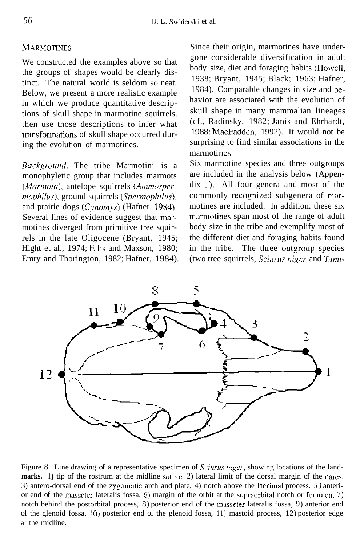#### **MARMOTINES**

We constructed the examples above so that the groups of shapes would be clearly distinct. The natural world is seldom so neat. Below, we present a more realistic example in which we produce quantitative descriptions of skull shape in marmotine squirrels. then use those descriptions to infer what transformations of skull shape occurred during the evolution of marmotines.

*Background*. The tribe Marmotini is a monophyletic group that includes marmots *(Marmota).* antelope squirrels *(Ammospe~*   $mophilus$ , ground squirrels *(Spermophilus)*, and prairie dogs  $(Cynomys)$  (Hafner. 1984). Several lines of evidence suggest that marmotines diverged from primitive tree squirrels in the late Oligocene (Bryant, 1945; Hight et al., 1974; Ellis and Maxson, 1980; Emry and Thorington, 1982; Hafner, 1984).

Since their origin, marmotines have undergone considerable diversification in adult body size, diet and foraging habits (Howell, 1938; Bryant, 1945; Black; 1963; Hafner, 1984). Comparable changes in size and behavior are associated with the evolution of skull shape in many mammalian lineages (cf., Radinsky, 1982; Janis and Ehrhardt, 1988: MacFadden, 1992). It would not be surprising to find similar associations in the marmoti nes,

Six marmotine species and three outgroups are included in the analysis below (Appendix 1). All four genera and most of the commonly recognized subgenera of marmotines are included. In addition. these six marmotines span most of the range of adult body size in the tribe and exemplify most of the different diet and foraging habits found in the tribe. The three outgroup species (two tree squirrels, *Sciiirus niger* and *Tunli-*



Figure 8. Line drawing of a representative specimen of Sciurus niger, showing locations of the landmarks. Ij tip of the rostrum at the midline suturc. 2) lateral limit of the dorsal margin of the nares, 3) antero-dorsal end of the zygomatic arch and plate, 4) notch above the lacrimal process. *5)* anterior end of the rnasseter lateralis fossa, 6) margin of the orbit at the supraorbital notch or foramen, 7) notch behind the postorbital process, 8) posterior end of the masseter lateralis fossa, 9) anterior end of the glenoid fossa, 10) posterior end of the glenoid fossa, 11) mastoid process, 12) posterior edge at the midline.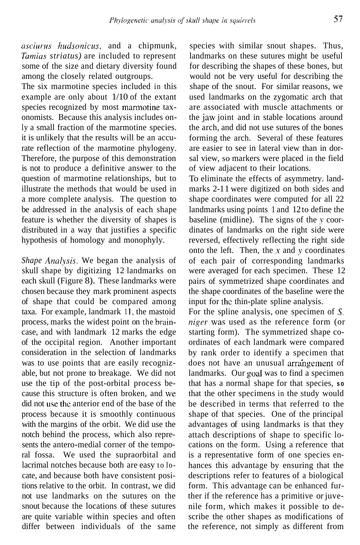*asciurus hudsonicus*, and a chipmunk, *Tmnius striatus)* are included to represent some of the size and dietary diversity found among the closely related outgroups.

The six marmotine species included in this example are only about 1/10 of the extant species recognized by most marmotine taxonomists. Because this analysis includes only a small fraction of the marmotine species. it is unlikely that the results will be an accurate reflection of the marmotine phylogeny. Therefore, the purpose of this demonstration is not to produce a definitive answer to the question of marmotine relationships, but to illustrate the methods that would be used in a more complete analysis. The question to be addressed in the analysis of each shape feature is whether the diversity of shapes is distributed in a way that justifies a specific hypothesis of homology and monophyly.

*Shape Anaiysis.* We began the analysis of skull shape by digitizing 12 landmarks on each skull (Figure 8). These landmarks were chosen because they mark prominent aspects of shape that could be compared among taxa. For example, landmark 11, the mastoid process, marks the widest point on the braincase, and with landmark 12 marks the edge of the occipital region. Another important consideration in the selection of landmarks was to use points that are easily recognizable, but not prone to breakage. We did not use the tip of the post-orbital process because this structure is often broken, and we did not use the anterior end of the base of the process because it is smoothly continuous with the margins of the orbit. We did use the notch behind the process, which also represents the antero-medial corner of the temporal fossa. We used the supraorbital and lacrimal notches because both are easy to locate, and because both have consistent positions relative to the orbit. In contrast, we did not use landmarks on the sutures on the snout because the locations of these sutures are quite variable within species and often differ between individuals of the same

species with similar snout shapes. Thus, landmarks on these sutures might be useful for describing the shapes of these bones, but would not be very useful for describing the shape of the snout. For similar reasons, we used landmarks on the zygomatic arch that are associated with muscle attachments or the jaw joint and in stable locations around the arch, and did not use sutures of the bones forming the arch. Several of these features are easier to see in lateral view than in dorsal view, so markers were placed in the field of view adjacent to their locations.

To eliminate the effects of asymmetry. landmarks 2-1 1 were digitized on both sides and shape coordinates were computed for all 22 landmarks using points 1 and 12 to define the baseline (midline). The signs of the *y* coordinates of landmarks on the right side were reversed, effectively reflecting the right side onto the left. Then, the  $x$  and  $y$  coordinates of each pair of corresponding landmarks were averaged for each specimen. These 12 pairs of symmetrized shape coordinates and the shape coordinates of the baseline were the input for the thin-plate spline analysis.

For the spline analysis, one specimen of S. *niger* was used as the reference form (or starting form). The symmetrized shape coordinates of each landmark were compared by rank order to identify a specimen that does not have an unusual arrangement of landmarks. Our goal was to find a specimen that has a normal shape for that species, **so**  that the other specimens in the study would be described in terms that referred to the shape of that species. One of the principal advantages of using landmarks is that they attach descriptions of shape to specific locations on the form. Using a reference that is a representative form of one species enhances this advantage by ensuring that the descriptions refer to features of a biological form. This advantage can be enhanced further if the reference has a primitive or juvenile form, which makes it possible to describe the other shapes as modifications of the reference, not simply as different from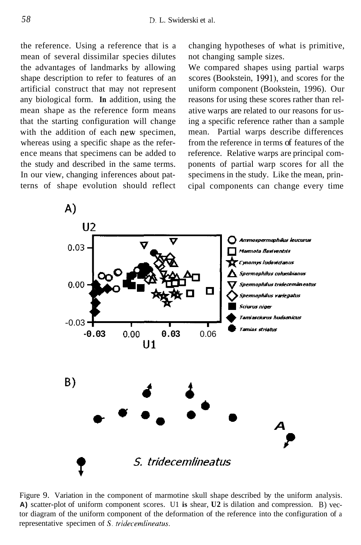the reference. Using a reference that is a mean of several dissimilar species dilutes the advantages of landmarks by allowing shape description to refer to features of an artificial construct that may not represent any biological form. **In** addition, using the mean shape as the reference form means that the starting configuration will change with the addition of each new specimen, whereas using a specific shape as the reference means that specimens can be added to the study and described in the same terms. In our view, changing inferences about patterns of shape evolution should reflect changing hypotheses of what is primitive, not changing sample sizes.

We compared shapes using partial warps scores (Bookstein, 1991), and scores for the uniform component (Bookstein, 1996). Our reasons for using these scores rather than relative warps are related to our reasons for using a specific reference rather than a sample mean. Partial warps describe differences from the reference in terms of features of the reference. Relative warps are principal components of partial warp scores for all the specimens in the study. Like the mean, principal components can change every time



Figure 9. Variation in the component of marmotine skull shape described by the uniform analysis. **A)** scatter-plot of uniform component scores. U1 **is** shear, **U2** is dilation and compression. B) vector diagram of the uniform component of the deformation of the reference into the configuration of a representative specimen of *S. tridecemlineatus*.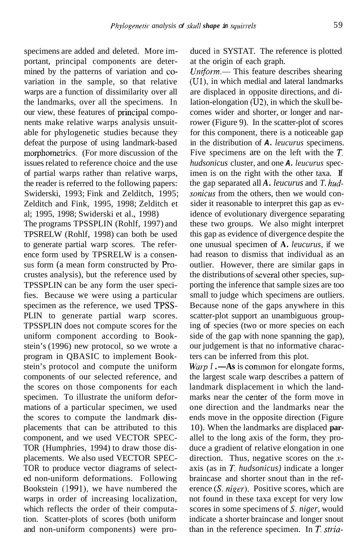specimens are added and deleted. More important, principal components are determined by the patterns of variation and covariation in the sample, so that relative warps are a function of dissimilarity over all the landmarks, over all the specimens. In our view, these features of principal components make relative warps analysis unsuitable for phylogenetic studies because they defeat the purpose of using landmark-based morphometrics. (For more discussion of the issues related to reference choice and the use of partial warps rather than relative warps, the reader is referred to the following papers: Swiderski, 1993; Fink and Zelditch, 1995; Zelditch and Fink, 1995, 1998; Zelditch et al; 1995, 1998; Swiderski et al., 1998)

The programs TPSSPLIN (Rohlf, 1997) and TPSRELW (Rohlf, 1998) can both be used to generate partial warp scores. The reference form used by TPSRELW is a consensus form (a mean form constructed by Procrustes analysis), but the reference used by TPSSPLIN can be any form the user specifies. Because we were using a particular specimen as the reference, we used TPSS-PLIN to generate partial warp scores. TPSSPLIN does not compute scores for the uniform component according to Bookstein's (1996) new protocol, so we wrote a program in QBASIC to implement Bookstein's protocol and compute the uniform components of our selected reference, and the scores on those components for each specimen. To illustrate the uniform deformations of a particular specimen, we used the scores to compute the landmark displacements that can be attributed to this component, and we used VECTOR SPEC-TOR (Humphries, 1994) to draw those displacements. We also used VECTOR SPEC-TOR to produce vector diagrams of selected non-uniform deformations. Following Bookstein (1991), we have numbered the warps in order of increasing localization, which reflects the order of their computation. Scatter-plots of scores (both uniform and non-uniform components) were produced in SYSTAT. The reference is plotted at the origin of each graph.

*Uniform.*— This feature describes shearing (Ul), in which medial and lateral landmarks are displaced in opposite directions, and dilation-elongation (U2). in which the skull becomes wider and shorter, or longer and narrower (Figure 9). In the scatter-plot of scores for this component, there is a noticeable gap in the distribution of *A. leucurus* specimens. Five specimens are on the left with the *T. hudsonicus* cluster, and one *A. leucurus* specimen is on the right with the other taxa. If the gap separated all *A. leucurus* and *T. hudsonicus* from the others, then we would consider it reasonable to interpret this gap as evidence of evolutionary divergence separating these two groups. We also might interpret this gap as evidence of divergence despite the one unusual specimen of **A.** *leucurus,* if we had reason to dismiss that individual as an outlier. However, there are similar gaps in the distributions of several other species, supporting the inference that sample sizes are too small to judge which specimens are outliers. Because none of the gaps anywhere in this scatter-plot support an unambiguous grouping of species (two or more species on each side of the gap with none spanning the gap), our judgement is that no informative characters can be inferred from this plot.

*Warp I* **.**—As is common for elongate forms, the largest scale warp describes a pattern of landmark displacement in which the landmarks near the center of the form move in one direction and the landmarks near the ends move in the opposite direction (Figure 10). When the landmarks are displaced **par**allel to the long axis of the form, they produce a gradient of relative elongation in one direction. Thus, negative scores on the *x*axis (as in *T. hudsonicus)* indicate a longer braincase and shorter snout than in the reference *(S. niger)*. Positive scores, which are not found in these taxa except for very low scores in some specimens of *S. niger,* would indicate a shorter braincase and longer snout than in the reference specimen. In *T. stiia-*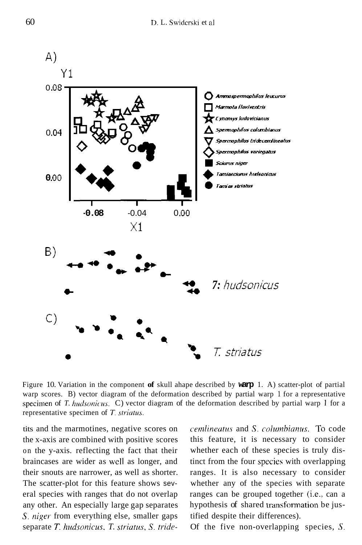

Figure 10. Variation in the component **of** skull ahape described by **warp** 1. A) scatter-plot of partial warp scores. B) vector diagram of the deformation described by partial warp 1 for a representative specimen of *T. hudsonicus.* C) vector diagram of the deformation described by partial warp 1 for a representative specimen of *T. striatus*.

tits and the marmotines, negative scores on the x-axis are combined with positive scores on the y-axis. reflecting the fact that their braincases are wider as wcll as longer, and their snouts are narrower, as well as shorter. The scatter-plot for this feature shows several species with ranges that do not overlap any other. An especially large gap separates S. *niger* from everything else, smaller gaps separate *T. hudsonicus*, *T. striatus*, *S. tride-* *cendineatus* and *S. columbianus*. To code this feature, it is necessary to consider whether each of these species is truly distinct from the four species with overlapping ranges. It is also necessary to consider whether any of the species with separate ranges can be grouped together (i.e., can a hypothesis of shared transformation be justified despite their differences).

Of the five non-overlapping species, *S.*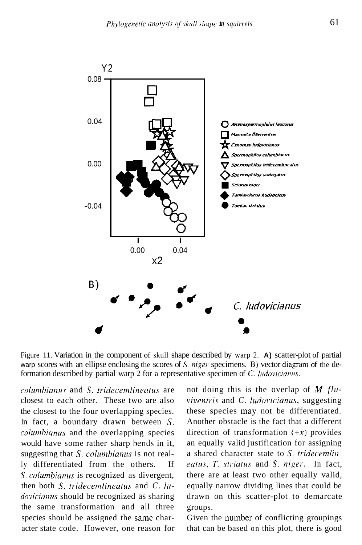

Figure 11. Variation in the component of skull shape described by warp 2. **A)** scatter-plot of partial warp scores with an ellipse enclosing the scores of *S. niger* specimens. B) vector diagram of the deformation described by partial warp 2 for a representative specimen of C. *Iudovicianus*.

 $column to a new set$  *columbianus* and *S. tridecemlineatus* are closest to each other. These two are also the closest to the four overlapping species. In fact, a boundary drawn between *S. columbianus* and the overlapping species would have some rather sharp bends in it, suggesting that *S. columbianics* is not really differentiated from the others. If **S.** *columbianus* is recognized as divergent, then both *S. tridecemlineatus* and *C. ludovicianus* should be recognized as sharing the same transformation and all three species should be assigned the same character state code. However, one reason for

not doing this is the overlap of *M. fluviventris* and *C. ludovicianus*, suggesting these species may not be differentiated. Another obstacle is the fact that a different direction of transformation  $(+x)$  provides an equally valid justification for assigning a shared character state to *S. tridecemlinearus, T. striutus* and S. *niger.* In fact, there are at least two other equally valid, equally narrow dividing lines that could be drawn on this scatter-plot to demarcate groups.

Given the number of conflicting groupings that can be based on this plot, there is good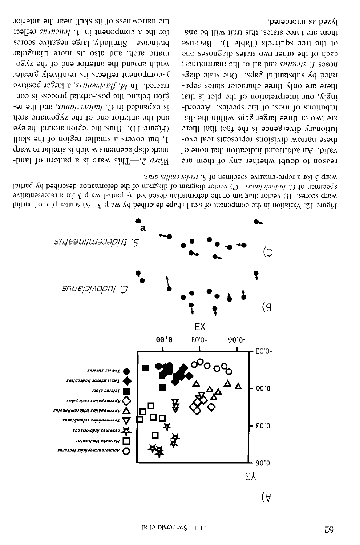

warp 3 for a representative specimen of S. tridecentimeatus. specimen of C. ludovicianas. C) vector diagram of diagnam of the deformation described by partial warp scores. B) vector diagram of the deformation described by partial warp 3 for a representative Figure 12. Variation in the component of skull shape described by warp 3. A) scatter-plot of partial

the narrowness of its skull near the anterior for the x-component in A. leurusus reflect braincase. Similarly, large negative scores matic arch, and also its more triangular width around the anterior end of the zygoy-component reflects its relatively greater tracted. In M. flaviventris, a larger positive gion bepind the post-orbital process is con--ai expanded in C. ludovicianus, and the reand the anterior end of the zygomatic arch  $(Higur)$ . Thus, the region around the eye I, but covers a smaller region of the skull mark displacements which is similar to warp -puel 10 month is a pattern of land-

paraproun se pazó there are three states, this trait will be anaof the tree squirrels (Table 1). Because each of the other two states diagnoses one resex T. striatus and all of the marmotines; rated by substantial gaps. One state diagthere are only three character states sepaingly, our interpretation of the plot is that tributions of most of the species. Accordare two or three larger gaps within the dislutionary divergence is the fact that there these narrow divisions represents real evovalid. An additional indication that none of reason to doubt whether any of them are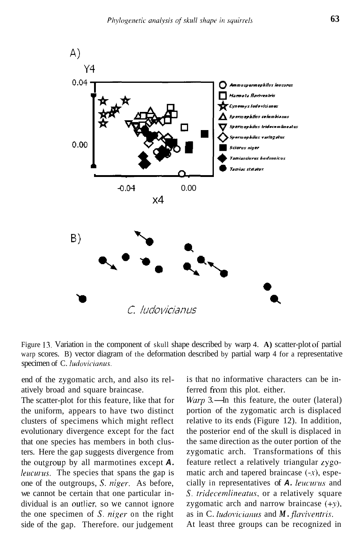

Figure 13. Variation in the component of skull shape described by warp 4. A) scatter-plot of partial warp scores. B) vector diagram of the deformation described by partial warp 4 for a representative specimen of C. *ludovicianus*.

end of the zygomatic arch, and also its relatively broad and square braincase.

The scatter-plot for this feature, like that for the uniform, appears to have two distinct clusters of specimens which might reflect evolutionary divergence except for the fact that one species has members in both clusters. Here the gap suggests divergence from the outgroup by all marmotines except **A**. *leucurus.* The species that spans the gap is one of the outgroups, S. *niger.* As before, we cannot be certain that one particular individual is an outlier, so we cannot ignore the one specimen of *S. niger* on the right side of the gap. Therefore. our judgement

is that no informative characters can be inferred from this plot. either.

*Warp* 3.—In this feature, the outer (lateral) portion of the zygomatic arch is displaced relative to its ends (Figure 12). In addition, the posterior end of the skull is displaced in the same direction as the outer portion of the zygomatic arch. Transformations of this feature retlect a relatively triangular  $zygo$ matic arch and tapered braincase  $(-x)$ , especially in representatives of A. *leucurus* and S. *tridecemlineatus*, or a relatively square zygomatic arch and narrow braincase  $(+y)$ , as in C. *ludovicianus* and *M. flaviventris.* 

At least three groups can be recognized in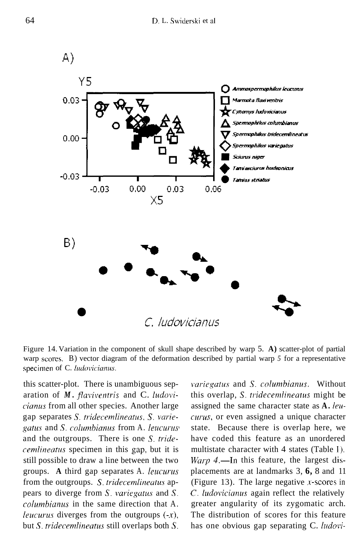

Figure 14. Variation in the component of skull shape described by warp 5. **A)** scatter-plot of partial warp scores. B) vector diagram of the deformation described by partial warp 5 for a representative specimen of C. *ludovicianus*.

this scatter-plot. There is unambiguous separation of *M. flaviventris* and C. ludovi*cianirs* from all other species. Another large gap separates *S. tridecemlineatus,* S. *vai-iegatus* and *S. columbianus* from A. *leucurus*<sup>*.*</sup> and the outgroups. There is one *S. tridecemlineatus* specimen in this gap, but it is still possible to draw a line between the two groups. **A** third gap separates A. *leucuriis*  from the outgroups. S. *tridecemlineatus* appears to diverge from *S. vui-iegutus* and *S. columbicznus* in the same direction that A. *leucurus* diverges from the outgroups  $(-x)$ . but *S. tridecemlineatus* still overlaps both *S*.

*~~ai-iegatus* and *S. rolumhianus.* Without this overlap, *S. t~-idecenilineatus* might be assigned the same character state as A. leu*curus*, or even assigned a unique character state. Because there is overlap here, we have coded this feature as an unordered multistate character with 4 states (Table 1). *Warp 4*.—In this feature, the largest displacements are at landmarks 3, **6,** 8 and 11 (Figure 13). The large negative  $x$ -scores in C. *ludovicianus* again reflect the relatively greater angularity of its zygomatic arch. The distribution of scores for this feature has one obvious gap separating C. *ludovi*-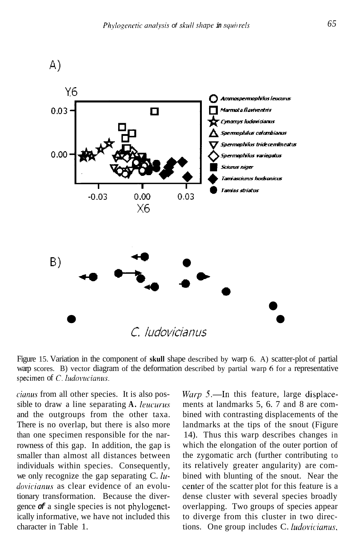

Figure 15. Variation in the component of **skull** shape described by warp 6. A) scatter-plot of partial warp scores. B) vector diagram of the deformation described by partial warp 6 for a representative specimen of *C*. *ludovucianus*.

*ciclnus* from all other species. It is also possible to draw a line separating A. *leucurus* and the outgroups from the other taxa. There is no overlap, but there is also more than one specimen responsible for the narrowness of this gap. In addition, the gap is smaller than almost all distances between individuals within species. Consequently, we only recognize the gap separating C. *114 dovicianus* as clear evidence of an evolutionary transformation. Because the divergence *of* a single species is not phylogenetically informative, we have not included this character in Table 1.

*Warp* 5.—In this feature, large displacements at landmarks 5, 6. 7 and 8 are combined with contrasting displacements of the landmarks at the tips of the snout (Figure 14). Thus this warp describes changes in which the elongation of the outer portion of the zygomatic arch (further contributing to its relatively greater angularity) are combined with blunting of the snout. Near the center of the scatter plot for this feature is a dense cluster with several species broadly overlapping. Two groups of species appear to diverge from this cluster in two directions. One group includes C. *ludovicianus*,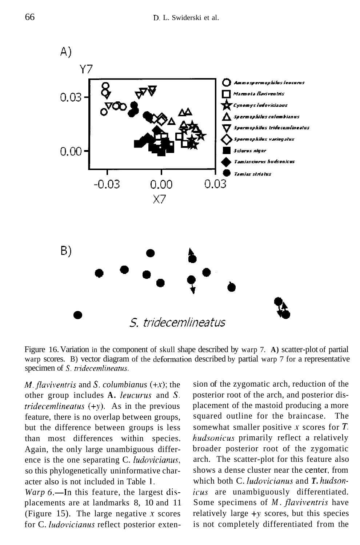

Figure 16. Variation in the component of skull shape described by warp 7. **A)** scatter-plot of partial warp scores. B) vector diagram of the deformation described by partial warp 7 for a representative specimen of *S. tiidecemlineatus.* 

*M. flaviventris* and *S. columbianus*  $(+x)$ ; the other group includes A. *leucurus* and S. *tridecendineaius (+y).* As in the previous feature, there is no overlap between groups, but the difference between groups is less than most differences within species. Again, the only large unambiguous difference is the one separating C. *ludovicianus,*  so this phylogenetically uninformative character also is not included in Table **1.** 

*Warp 6.*—In this feature, the largest displacements are at landmarks 8, 10 and 11 (Figure 15). The large negative  $\chi$  scores for C. *Iudovicianus* reflect posterior exten-

sion of the zygomatic arch, reduction of the posterior root of the arch, and posterior displacement of the mastoid producing a more squared outline for the braincase. The somewhat smaller positive  $x$  scores for  $T$ . *hudsonicus* primarily reflect a relatively broader posterior root of the zygomatic arch. The scatter-plot for this feature also shows a dense cluster near the center, from which both C. *ludovicianus* and *T. hudsonicus* are unambiguously differentiated. Some specimens of *M. flaviventris* have relatively large *+y* scores, but this species is not completely differentiated from the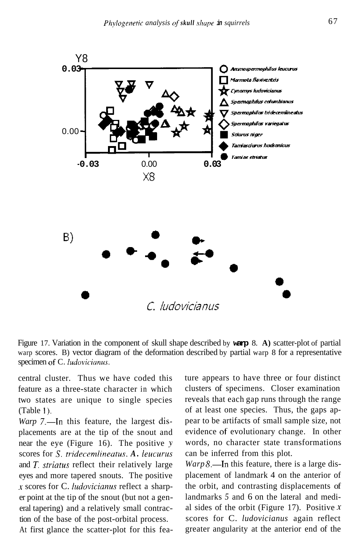

Figure 17. Variation in the component of skull shape described by **warp** 8. **A)** scatter-plot of partial warp scores. B) vector diagram of the deformation described by partial warp 8 for a representative specimen of C. *ludovicianus*.

central cluster. Thus we have coded this feature as a three-state character in which two states are unique to single species (Table **1).** 

*Warp* 7.—In this feature, the largest displacements are at the tip of the snout and near the eye (Figure 16). The positive *y*  scores for *S. tridecemlineutus. A. leucurus*  and *T. striatus* reflect their relatively large eyes and more tapered snouts. The positive **x** scores for C. *ludovicianus* reflect a sharper point at the tip of the snout (but not a general tapering) and a relatively small contraction of the base of the post-orbital process.

At first glance the scatter-plot for this fea-

ture appears to have three or four distinct clusters of specimens. Closer examination reveals that each gap runs through the range of at least one species. Thus, the gaps appear to be artifacts of small sample size, not evidence of evolutionary change. In other words, no character state transformations can be inferred from this plot.

*Warp 8*.—In this feature, there is a large displacement of landmark 4 on the anterior of the orbit, and contrasting displacements of landmarks *5* and 6 on the lateral and medial sides of the orbit (Figure 17). Positive *x*  scores for C. *ludovicianus* again reflect greater angularity at the anterior end of the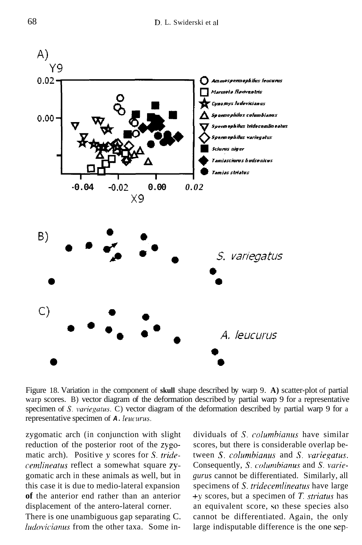

Figure 18. Variation in the component of **skull** shape described by warp 9. **A)** scatter-plot of partial warp scores. B) vector diagram of the deformation described by partial warp 9 for a representative specimen of *S. variegatus.* C) vector diagram of the deformation described by partial warp 9 for a representative specimen of **A**. *leucurus*.

zygomatic arch (in conjunction with slight reduction of the posterior root of the zygomatic arch). Positive *y* scores for *S*. *tridecentlineatus* reflect a somewhat square zygomatic arch in these animals as well, but in this case it is due to medio-lateral expansion **of** the anterior end rather than an anterior displacement of the antero-lateral corner.

There is one unambiguous gap separating C. *ludovicianus* from the other taxa. Some in-

dividuals of *S. columbianus* have similar scores, but there is considerable overlap between S. *colirnibianirs* and *S. variegatus.*  Consequently, S. *columbianus* and S. *variegurus* cannot be differentiated. Similarly, all specimens of *S. tridecemlineatus* have large  $+y$  scores, but a specimen of *T*. *striatus* has an equivalent score, so these species also cannot be differentiated. Again, the only large indisputable difference is the one sep-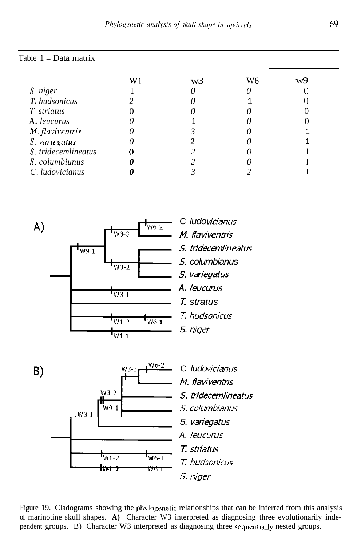| Table 1 – Data matrix |                |                |    |    |
|-----------------------|----------------|----------------|----|----|
|                       | W <sub>1</sub> | w <sub>3</sub> | W6 | w9 |
| S niger               |                |                |    |    |
| T. hudsonicus         |                |                |    |    |
| <i>T.</i> striatus    |                |                |    |    |
| A. leucurus           |                |                |    |    |
| M. flaviventris       |                |                |    |    |
| S. variegatus         |                |                |    |    |
| S. tridecemlineatus   |                |                |    |    |
| S. columbiunus        |                |                |    |    |
| C. ludovicianus       |                |                |    |    |



Figure 19. Cladograms showing the phylogeneiic relationships that can be inferred from this analysis of marinotine skull shapes. **A)** Character W3 interpreted as diagnosing three evolutionarily independent groups. B) Character W3 interpreted as diagnosing three sequentially nested groups.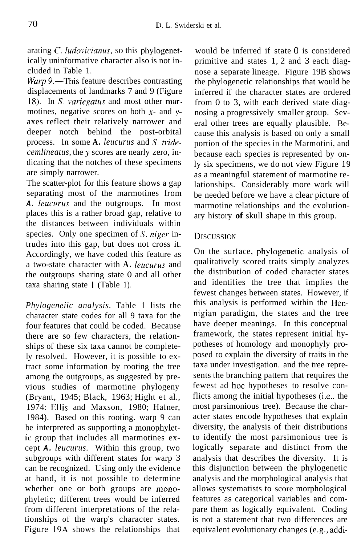arating C. *Iudovicianus,* so this phylogenetically uninformative character also is not included in Table 1.

*Warp* 9.—This feature describes contrasting displacements of landmarks 7 and 9 (Figure 18). In S. *variegatus* and most other marmotines, negative scores on both x- and yaxes reflect their relatively narrower and deeper notch behind the post-orbital process. In some **A.** *leucurus* and *S. tridecemlineatus,* the *y* scores are nearly zero, indicating that the notches of these specimens are simply narrower.

The scatter-plot for this feature shows a gap separating most of the marmotines from *A. leucurus* and the outgroups. In most places this is a rather broad gap, relative to the distances between individuals within species. Only one specimen of S. *niger* intrudes into this gap, but does not cross it. Accordingly, we have coded this feature as a two-state character with **A.** *leucurus* and the outgroups sharing state 0 and all other taxa sharing state **1** (Table 1).

*Phylogeneiic analysis.* Table 1 lists the character state codes for all 9 taxa for the four features that could be coded. Because there are so few characters, the relationships of these six taxa cannot be completely resolved. However, it is possible to extract some information by rooting the tree among the outgroups, as suggested by previous studies of marmotine phylogeny (Bryant, 1945; Black, 1963; Hight et al., 1974: Ellis and Maxson, 1980; Hafner, 1984). Based on this rooting. warp 9 can be interpreted as supporting a monophyletic group that includes all marmotines except *A. leucurus.* Within this group, two subgroups with different states for warp 3 can be recognized. Using only the evidence at hand, it is not possible to determine whether one or both groups are monophyletic; different trees would be inferred from different interpretations of the relationships of the warp's character states. Figure **19A** shows the relationships that

would be inferred if state 0 is considered primitive and states 1, 2 and 3 each diagnose a separate lineage. Figure 19B shows the phylogenetic relationships that would be inferred if the character states are ordered from 0 to 3, with each derived state diagnosing a progressively smaller group. Several other trees are equally plausible. Because this analysis is based on only a small portion of the species in the Marmotini, and because each species is represented by only six specimens, we do not view Figure 19 as a meaningful statement of marmotine relationships. Considerably more work will be needed before we have a clear picture of marmotine relationships and the evolutionary history **of** skull shape in this group.

#### **DISCUSSION**

On the surface, phylogenetic analysis of qualitatively scored traits simply analyzes the distribution of coded character states and identifies the tree that implies the fewest changes between states. However, if this analysis is performed within the Hennigian paradigm, the states and the tree have deeper meanings. In this conceptual framework, the states represent initial hypotheses of homology and monophyly proposed to explain the diversity of traits in the taxa under investigation. and the tree represents the branching pattern that requires the fewest ad hoc hypotheses to resolve conflicts among the initial hypotheses (i.e., the most parsimonious tree). Because the character states encode hypotheses that explain diversity, the analysis of their distributions to identify the most parsimonious tree is logically separate and distinct from the analysis that describes the diversity. It is this disjunction between the phylogenetic analysis and the morphological analysis that allows systematists to score morphological features as categorical variables and compare them as logically equivalent. Coding is not a statement that two differences are equivalent evolutionary changes (e.g., addi-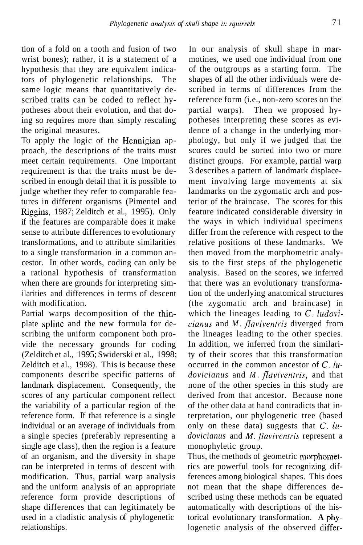tion of a fold on a tooth and fusion of two wrist bones); rather, it is a statement of a hypothesis that they are equivalent indicators of phylogenetic relationships. The same logic means that quantitatively described traits can be coded to reflect hypotheses about their evolution, and that doing so requires more than simply rescaling the original measures.

To apply the logic of the Hennigian approach, the descriptions of the traits must meet certain requirements. One important requirement is that the traits must be described in enough detail that it is possible to judge whether they refer to comparable features in different organisms (Pimentel and Riggins, 1987; Zelditch et al., 1995). Only if the features are comparable does it make sense to attribute differences to evolutionary transformations, and to attribute similarities to a single transformation in a common ancestor. In other words, coding can only be a rational hypothesis of transformation when there are grounds for interpreting similarities and differences in terms of descent with modification.

Partial warps decomposition of the thinplate spline and the new formula for describing the uniform component both provide the necessary grounds for coding (Zelditch et al., 1995; Swiderski et al., 1998; Zelditch et al., 1998). This is because these components describe specific patterns of landmark displacement. Consequently, the scores of any particular component reflect the variability of a particular region of the reference form. If that reference is a single individual or an average of individuals from a single species (preferably representing a single age class), then the region is a feature of an organism, and the diversity in shape can be interpreted in terms of descent with modification. Thus, partial warp analysis and the uniform analysis of an appropriate reference form provide descriptions of shape differences that can legitimately be used in a cladistic analysis of phylogenetic relationships.

In our analysis of skull shape in marmotines, we used one individual from one of the outgroups as a starting form. The shapes of all the other individuals were described in terms of differences from the reference form (i.e., non-zero scores on the partial warps). Then we proposed hypotheses interpreting these scores as evidence of a change in the underlying morphology, but only if we judged that the scores could be sorted into two or more distinct groups. For example, partial warp 3 describes a pattern of landmark displacement involving large movements at six landmarks on the zygomatic arch and posterior of the braincase. The scores for this feature indicated considerable diversity in the ways in which individual specimens differ from the reference with respect to the relative positions of these landmarks. We then moved from the morphometric analysis to the first steps of the phylogenetic analysis. Based on the scores, we inferred that there was an evolutionary transformation of the underlying anatomical structures (the zygomatic arch and braincase) in which the lineages leading to *C. ludoviciunus* and *M. flaviventris* diverged from the lineages leading to the other species. In addition, we inferred from the similarity of their scores that this transformation occurred in the common ancestor of C. *ludovicianus* and *M. flaviventris*, and that none of the other species in this study are derived from that ancestor. Because none of the other data at hand contradicts that interpretation, our phylogenetic tree (based only on these data) suggests that *C. ludovicianus* and *M. flaviventris* represent a monophyletic group.

Thus, the methods of geometric morphometrics are powerful tools for recognizing differences among biological shapes. This does not mean that the shape differences described using these methods can be equated automatically with descriptions of the historical evolutionary transformation. **A** phylogenetic analysis of the observed differ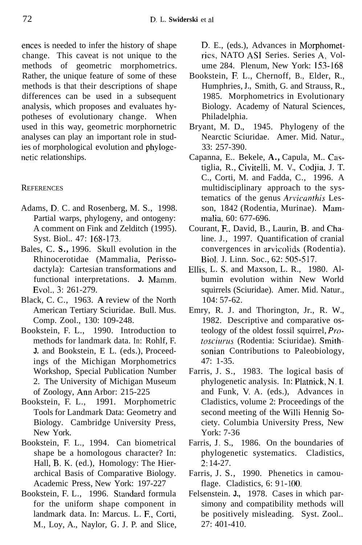ences is needed to infer the history of shape change. This caveat is not unique to the methods of geometric morphometrics. Rather, the unique feature of some of these methods is that their descriptions of shape differences can be used in a subsequent analysis, which proposes and evaluates hypotheses of evolutionary change. When used in this way, geometric morphornetric analyses can play an important role in studies of morphological evolution and phylogenetic relationships.

## **REFERENCES**

- Adams, D. C. and Rosenberg, M. S., 1998. Partial warps, phylogeny, and ontogeny: A comment on Fink and Zelditch (1995). Syst. Biol.. 47: 168-173.
- Bales, C. **S.,** 1996. Skull evolution in the Rhinocerotidae (Mammalia, Perissodactyla): Cartesian transformations and functional interpretations. **J.** Mamm. Evol., *3:* 261-279.
- Black, C. C., 1963. **A** review of the North American Tertiary Sciuridae. Bull. Mus. Comp. Zool., 130: 109-248.
- Bookstein, F. L., 1990. Introduction to methods for landmark data. In: Rohlf, F. **J.** and Bookstein, E L. (eds.), Proceedings of the Michigan Morphometrics Workshop, Special Publication Number 2. The University of Michigan Museum of Zoology, Ann Arbor: 215-225
- Bookstein, F. L., 1991. Morphometric Tools for Landmark Data: Geometry and Biology. Cambridge University Press, New York.
- Bookstein, E L., 1994. Can biometrical shape be a homologous character? In: Hall, B. K. (ed.), Homology: The Hierarchical Basis of Comparative Biology. Academic Press, New York: 197-227
- Bookstein, F. L., 1996. Standard formula for the uniform shape component in landmark data. In: Marcus. L. F., Corti, M., Loy, A., Naylor, G. J. P. and Slice,

D. E., (eds.), Advances in Morphometrics, NATO AS1 Series. Series A> Volume 284. Plenum, New York: 153-168

- Bookstein, F. L., Chernoff, B., Elder, R., Humphries, **J.,** Smith, G. and Strauss, R., 1985. Morphometrics in Evolutionary Biology. Academy of Natural Sciences, Philadelphia.
- Bryant, M. D., 1945. Phylogeny of the Nearctic Sciuridae. Amer. Mid. Natur., 33: 257-390.
- Capanna, E.. Bekele, **A.,** Capula, M.. Castiglia, R., Civitelli, M. V., Codjia, J. T. C., Corti, M. and Fadda, C., 1996. A multidisciplinary approach to the systematics of the genus *Arvicanthis* Lesson, 1842 (Rodentia, Murinae). Mammalia. 60: 677-696.
- Courant, E. David, B., Laurin, B. and Chaline. J., 1997. Quantification of cranial convergences in arvicolids (Rodentia). Biol. J. Linn. Soc., 62: 505-517.
- Ellis, L. S. and Maxson, L. R., 1980. Albumin evolution within New World squirrels (Sciuridae). Amer. Mid. Natur., 104: 57-62.
- Emry, R. J. and Thorington, Jr., R. W., 1982. Descriptive and comparative osteology of the oldest fossil squirrel, *Protosciirrus* (Rodentia: Sciuridae). Smithsonian Contributions to Paleobiology, 47: 1-35.
- Farris, J. S., 1983. The logical basis of phylogenetic analysis. In: Platnick, N. **1.**  and Funk, V. A. (eds.), Advances in Cladistics, volume 2: Proceedings of the second meeting of the Willi Hennig Society. Columbia University Press, New York: 7-36
- Farris, J. S., 1986. On the boundaries of phylogenetic systematics. Cladistics,  $2:14-27$ .
- Farris, J. S., 1990. Phenetics in camouflage. Cladistics, 6: 91-100.
- Felsenstein. **J.,** 1978. Cases in which parsimony and compatibility methods will be positively misleading. Syst. Zool.. 27: 401-410.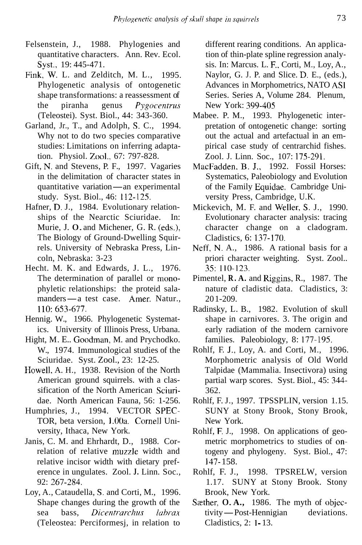- Felsenstein, J., 1988. Phylogenies and quantitative characters. Ann. Rev. Ecol. Syst., 19: 445-471.
- Fink, W. L. and Zelditch, M. L., 1995. Phylogenetic analysis of ontogenetic shape transformations: a reassessment of the piranha genus *Pygocmtrus*  (Teleostei). Syst. Biol., 44: 343-360.
- Garland, Jr., T., and Adolph, S. C., 1994. Why not to do two species comparative studies: Limitations on inferring adaptation. Physiol. Zool.; 67: 797-828.
- Gift, N. and Stevens, P. F., 1997. Vagaries<br>in the delimitation of character states in<br>quantitative variation—an experimental<br>study. Sust Pial. 46: 112.125 in the delimitation of character states in study. Syst. Biol., 46: 112-125.
- Hafner, D. J., 1984. Evolutionary relationships of the Nearctic Sciuridae. In: Murie, J. 0. and Michener, G. R. (eds.), The Biology of Ground-Dwelling Squirrels. University of Nebraska Press, Lincoln, Nebraska: 3-23
- Hecht. M. K. and Edwards, J. L., 1976. The determination of parallel or monophyletic relationships: the proteid sala-The determination of parallel or mono-<br>phyletic relationships: the proteid sala-<br>manders — a test case. Amer. Natur.,<br> $110.653.677$ 110: 653-677.
- Hennig. W., 1966. Phylogenetic Systematics. University of Illinois Press, Urbana.
- Hight, M. E.. Goodman, M. and Prychodko. W., 1974. Immunological studies of the Sciuridae. Syst. Zool., 23: 12-25.
- Howell, A. H., 1938. Revision of the North American ground squirrels. with a classification of the North American Sciuridae. North American Fauna, 56: 1-256.
- Humphries, J., 1994. VECTOR SPEC-TOR, beta version, 1.00a. Cornell University, Ithaca, New York.
- Janis, C. M. and Ehrhardt, D., 1988. Correlation of relative muzzle width and relative incisor width with dietary preference in ungulates. Zool. **J.** Linn. Soc., 92: 267-284.
- Loy, A., Cataudella, S. and Corti, M., 1996. Shape changes during the growth of the sea bass, *Dicentrarchus labrax* (Teleostea: Perciformesj, in relation to

different rearing conditions. An application of thin-plate spline regression analysis. In: Marcus. L. E. Corti, M., Loy, A., Naylor, G. J. P. and Slice. D. E., (eds.), Advances in Morphometrics, NATO AS1 Series. Series A, Volume 284. Plenum, New York: 399-405

- Mabee. P. M., 1993. Phylogenetic interpretation of ontogenetic change: sorting out the actual and artefactual in an empirical case study of centrarchid fishes. Zool. J. Linn. Soc., 107: 175-291.
- MacFadden. B. J., 1992. Fossil Horses: Systematics, Paleobiology and Evolution of the Family Equidae. Cambridge University Press, Cambridge, U.K.
- Mickevich, M. F. and Weller, S. J., 1990. Evolutionary character analysis: tracing character change on a cladogram. Cladistics, 6: 137-170.
- Neff, N. A., 1986. A rational basis for a priori character weighting. Syst. Zool.. 35: 110-123.
- Pimentel, **R. A.** and Riggins, R., 1987. The nature of cladistic data. Cladistics, 3: 20 1-209.
- Radinsky, L. B., 1982. Evolution of skull shape in carnivores. 3. The origin and early radiation of the modern carnivore families. Paleobiology, 8: 177-195.
- Rohlf, F. J., Loy, A. and Corti, M., 1996. Morphometric analysis of Old World Talpidae (Mammalia. Insectivora) using partial warp scores. Syst. Biol., 45: 344- 362.
- Rohlf, F. J., 1997. TPSSPLIN, version 1.15. SUNY at Stony Brook, Stony Brook, New York.
- Rohlf, E J., 1998. On applications of geometric morphometrics to studies of ontogeny and phylogeny. Syst. Biol., 47: 147- 158.
- Rohlf, F. J., 1998. TPSRELW, version 1.17. SUNY at Stony Brook. Stony Brook, New York.
- Brook, New York.<br>Sæther, **O. A.,** 1986. The myth of objec-<br>tivity-Post-Hennigian deviations.<br>Cladistics 2: 1.12 Cladistics, 2: **1** - 13.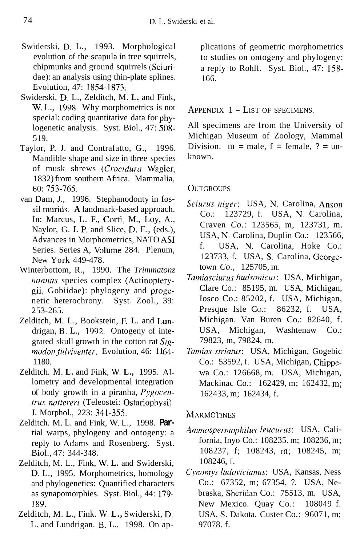- Swiderski, D. L., 1993. Morphological evolution of the scapula in tree squirrels, chipmunks and ground squirrels (Sciuridae): an analysis using thin-plate splines. Evolution, 47: 1854-1873.
- Swiderski, D. L., Zelditch, M. **L.** and Fink, W. L., 1998. Why morphometrics is not special: coding quantitative data for phylogenetic analysis. Syst. Biol., 47: 508- 519.
- Taylor, P. J. and Contrafatto, G., 1996. Mandible shape and size in three species of musk shrews *(Crociduru* Wagler, 1832) from southern Africa. Mammalia, 60: 753-765.
- van Dam, J., 1996. Stephanodonty in fossil murids. **A** landmark-based approach. In: Marcus, L. F., Corti, M., Loy, A., Naylor, G. **J.** P. and Slice, D. E., (eds.), Advances in Morphometrics, NATO AS1 Series. Series A, Volume 284. Plenum, New York 449-478.
- Winterbottom, R., 1990. The *Trimmatonz naanus* species complex (Actinopterygii, Gobiidae): phylogeny and progenetic heterochrony. Syst. Zool., 39: 253-265.
- Zelditch, M. L., Bookstein, E L. and Lundrigan, **B.** L., 1992. Ontogeny of integrated skull growth in the cotton rat Sigmodon fulviventer. Evolution, 46: 1164-1180.
- Zelditch. M. **L.** and Fink, W. **L.,** 1995. Allometry and developmental integration of body growth in a piranha, *Pygocentrus nattereri* (Teleostei: Ostariophysi) **J.** Morphol., 223: 341-355.
- Zelditch. M. L. and Fink, W. L., 1998. **Par**tial warps, phylogeny and ontogeny: a reply to Adams and Rosenberg. Syst. Biol., 47: 344-348.
- Zelditch, M. L., Fink, W. **L.** and Swiderski, D. L., 1995. Morphometrics, homology and phylogenetics: Quantified characters as synapomorphies. Syst. Biol., 44: 179- 189.
- Zelditch, M. L., Fink. W. **L.,** Swiderski, D. L. and Lundrigan. B. L.. 1998. On ap-

plications of geometric morphometrics to studies on ontogeny and phylogeny: a reply to Rohlf. Syst. Biol., 47: 158- 166.

APPENDIX  $1 -$  LIST OF SPECIMENS.

All specimens are from the University of Michigan Museum of Zoology, Mammal Division.  $m = male$ ,  $f = female$ ,  $? = un$ known.

## **OUTGROUPS**

- *Sciurus niger*: USA, N. Carolina, Anson CO.: 123729, f. USA, N. Carolina, Craven *Co.:* 123565, m, 123731, m. USA, N. Carolina, Duplin Co.: 123566, f. USA, N. Carolina, Hoke Co.: 123733, f. USA, S. Carolina, Georgetown *Co.,* 125705, m.
- *Tumiasciui-us hudsonicu;,* : USA, Michigan, Clare Co.: 85195, m. USA, Michigan, Iosco Co.: 85202, f. USA, Michigan, Presque Isle Co.: 86232, f. USA, Michigan. Van Buren Co.: 82640, f. USA, Michigan, Washtenaw Co.: 79823, m, 79824, m.
- *Taniias striutus:* USA, Michigan, Gogebic Co.: 53592, f. USA, Michigan, Chippewa Co.: 126668, m. USA, Michigan, Mackinac Co.: 162429, m; 162432, m; 162433, m; 162434, f.

#### MARMOTINES

- *Ammospermophilus leucurus:* USA, California, Inyo Co.: 108235. m; 108236, m; 108237, f; 108243, m; 108245, m; 108246, f.
- *Cynontys ludoiiciamis:* USA, Kansas, Ness Co.: 67352, m; 67354, ?. USA, Nebraska, Sheridan Co.: 75513, m. USA, New Mexico. Quay Co.: 108049 f. USA, *S.* Dakota. Custer Co.: 96071, m; 97078. f.